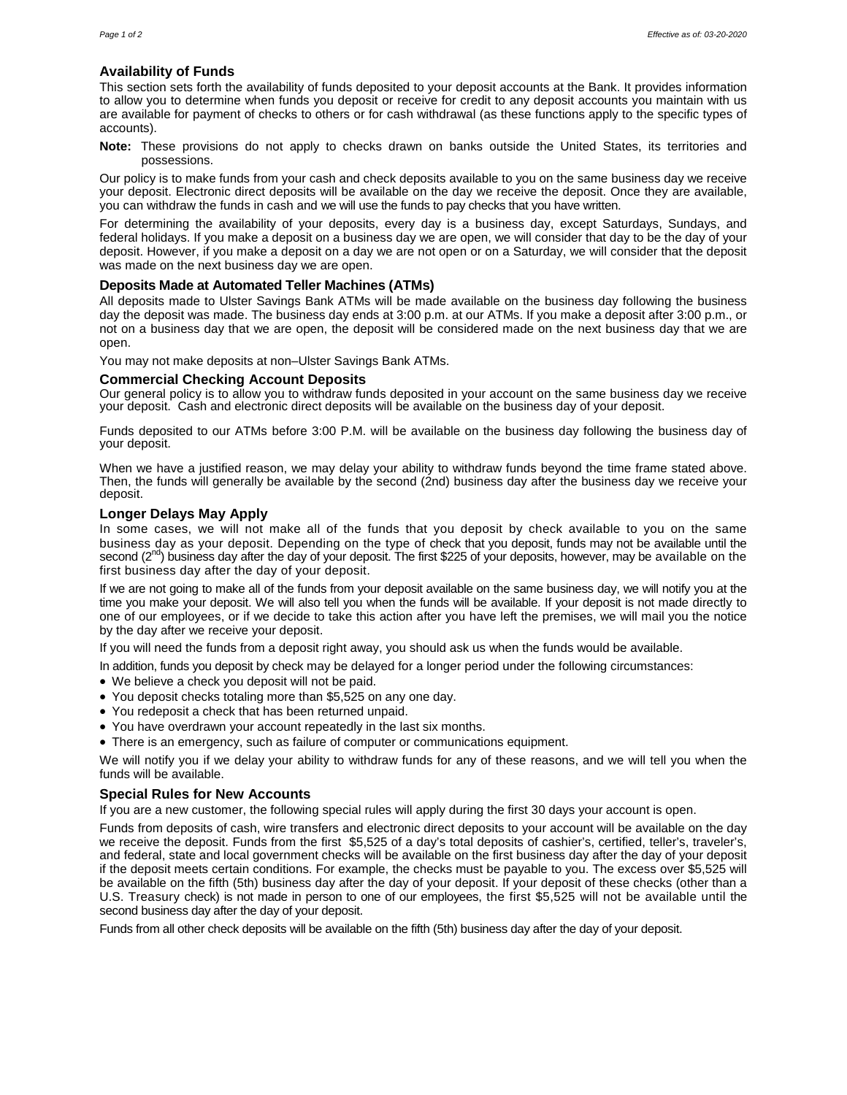# **Availability of Funds**

This section sets forth the availability of funds deposited to your deposit accounts at the Bank. It provides information to allow you to determine when funds you deposit or receive for credit to any deposit accounts you maintain with us are available for payment of checks to others or for cash withdrawal (as these functions apply to the specific types of accounts).

**Note:** These provisions do not apply to checks drawn on banks outside the United States, its territories and possessions.

Our policy is to make funds from your cash and check deposits available to you on the same business day we receive your deposit. Electronic direct deposits will be available on the day we receive the deposit. Once they are available, you can withdraw the funds in cash and we will use the funds to pay checks that you have written.

For determining the availability of your deposits, every day is a business day, except Saturdays, Sundays, and federal holidays. If you make a deposit on a business day we are open, we will consider that day to be the day of your deposit. However, if you make a deposit on a day we are not open or on a Saturday, we will consider that the deposit was made on the next business day we are open.

# **Deposits Made at Automated Teller Machines (ATMs)**

All deposits made to Ulster Savings Bank ATMs will be made available on the business day following the business day the deposit was made. The business day ends at 3:00 p.m. at our ATMs. If you make a deposit after 3:00 p.m., or not on a business day that we are open, the deposit will be considered made on the next business day that we are open.

You may not make deposits at non–Ulster Savings Bank ATMs.

## **Commercial Checking Account Deposits**

Our general policy is to allow you to withdraw funds deposited in your account on the same business day we receive your deposit. Cash and electronic direct deposits will be available on the business day of your deposit.

Funds deposited to our ATMs before 3:00 P.M. will be available on the business day following the business day of your deposit.

When we have a justified reason, we may delay your ability to withdraw funds beyond the time frame stated above. Then, the funds will generally be available by the second (2nd) business day after the business day we receive your deposit.

## **Longer Delays May Apply**

In some cases, we will not make all of the funds that you deposit by check available to you on the same business day as your deposit. Depending on the type of check that you deposit, funds may not be available until the second  $(2^{nd})$  business day after the day of your deposit. The first \$225 of your deposits, however, may be available on the first business day after the day of your deposit.

If we are not going to make all of the funds from your deposit available on the same business day, we will notify you at the time you make your deposit. We will also tell you when the funds will be available. If your deposit is not made directly to one of our employees, or if we decide to take this action after you have left the premises, we will mail you the notice by the day after we receive your deposit.

If you will need the funds from a deposit right away, you should ask us when the funds would be available.

In addition, funds you deposit by check may be delayed for a longer period under the following circumstances:

- We believe a check you deposit will not be paid.
- You deposit checks totaling more than \$5,525 on any one day.
- You redeposit a check that has been returned unpaid.
- You have overdrawn your account repeatedly in the last six months.
- There is an emergency, such as failure of computer or communications equipment.

We will notify you if we delay your ability to withdraw funds for any of these reasons, and we will tell you when the funds will be available.

## **Special Rules for New Accounts**

If you are a new customer, the following special rules will apply during the first 30 days your account is open.

Funds from deposits of cash, wire transfers and electronic direct deposits to your account will be available on the day we receive the deposit. Funds from the first \$5,525 of a day's total deposits of cashier's, certified, teller's, traveler's, and federal, state and local government checks will be available on the first business day after the day of your deposit if the deposit meets certain conditions. For example, the checks must be payable to you. The excess over \$5,525 will be available on the fifth (5th) business day after the day of your deposit. If your deposit of these checks (other than a U.S. Treasury check) is not made in person to one of our employees, the first \$5,525 will not be available until the second business day after the day of your deposit.

Funds from all other check deposits will be available on the fifth (5th) business day after the day of your deposit.